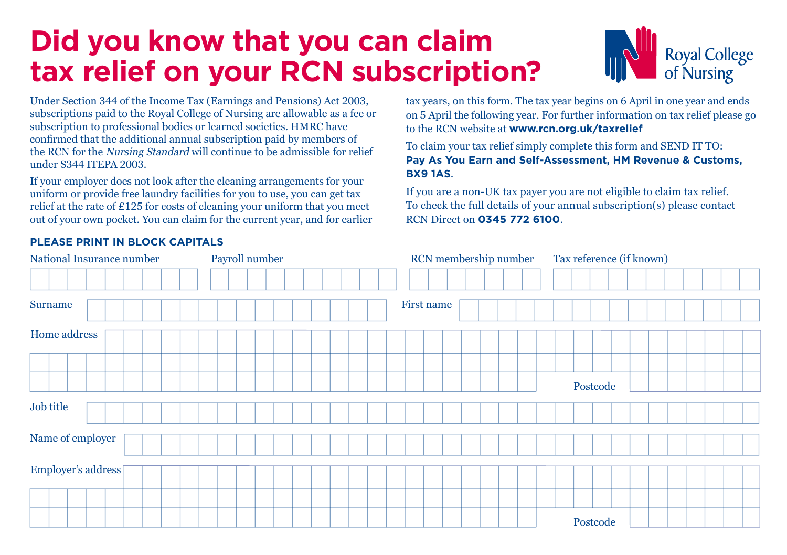## **Did you know that you can claim tax relief on your RCN subscription?**



Under Section 344 of the Income Tax (Earnings and Pensions) Act 2003, subscriptions paid to the Royal College of Nursing are allowable as a fee or subscription to professional bodies or learned societies. HMRC have confirmed that the additional annual subscription paid by members of the RCN for the Nursing Standard will continue to be admissible for relief under S344 ITEPA 2003.

If your employer does not look after the cleaning arrangements for your uniform or provide free laundry facilities for you to use, you can get tax relief at the rate of £125 for costs of cleaning your uniform that you meet out of your own pocket. You can claim for the current year, and for earlier

tax years, on this form. The tax year begins on 6 April in one year and ends on 5 April the following year. For further information on tax relief please go to the RCN website at **www.rcn.org.uk/taxrelief**

To claim your tax relief simply complete this form and SEND IT TO: **Pay As You Earn and Self-Assessment, HM Revenue & Customs, BX9 1AS**.

If you are a non-UK tax payer you are not eligible to claim tax relief. To check the full details of your annual subscription(s) please contact RCN Direct on **0345 772 6100**.

| National Insurance number | Payroll number | RCN membership number | Tax reference (if known) |
|---------------------------|----------------|-----------------------|--------------------------|
|                           |                |                       |                          |
| <b>Surname</b>            |                | First name            |                          |
| Home address              |                |                       |                          |
|                           |                |                       |                          |
|                           |                |                       | Postcode                 |
| Job title                 |                |                       |                          |
| Name of employer          |                |                       |                          |
| Employer's address [      |                |                       |                          |
|                           |                |                       |                          |
|                           |                |                       | Postcode                 |

## **PLEASE PRINT IN BLOCK CAPITALS**